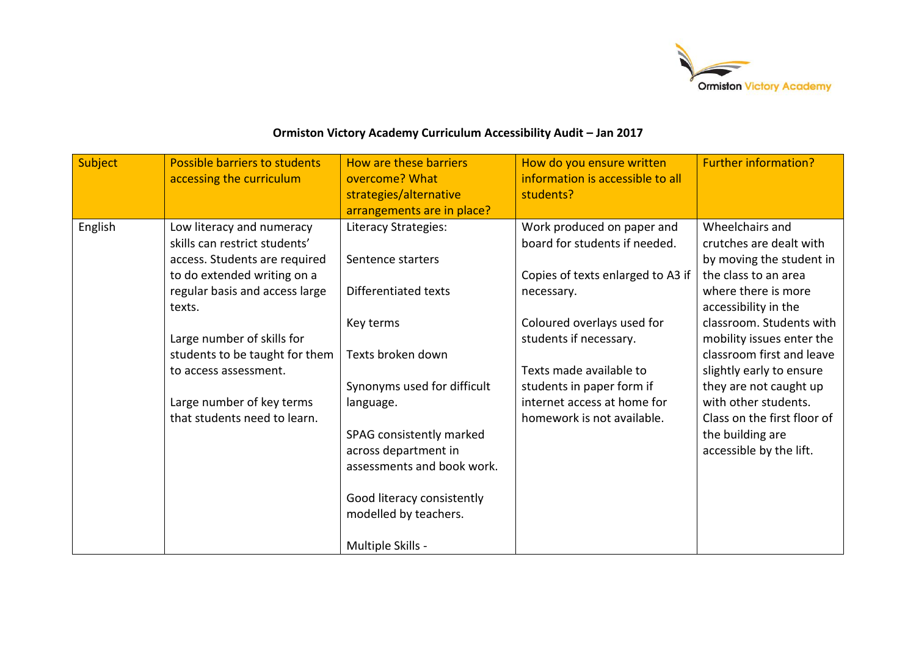

## **Ormiston Victory Academy Curriculum Accessibility Audit – Jan 2017**

| Subject | Possible barriers to students<br>accessing the curriculum                                                                                                                                                                                                                                                                    | How are these barriers<br>overcome? What<br>strategies/alternative<br>arrangements are in place?                                                                                                                                                                                         | How do you ensure written<br>information is accessible to all<br>students?                                                                                                                                                                                                                  | <b>Further information?</b>                                                                                                                                                                                                                                                                                                                                                                     |
|---------|------------------------------------------------------------------------------------------------------------------------------------------------------------------------------------------------------------------------------------------------------------------------------------------------------------------------------|------------------------------------------------------------------------------------------------------------------------------------------------------------------------------------------------------------------------------------------------------------------------------------------|---------------------------------------------------------------------------------------------------------------------------------------------------------------------------------------------------------------------------------------------------------------------------------------------|-------------------------------------------------------------------------------------------------------------------------------------------------------------------------------------------------------------------------------------------------------------------------------------------------------------------------------------------------------------------------------------------------|
| English | Low literacy and numeracy<br>skills can restrict students'<br>access. Students are required<br>to do extended writing on a<br>regular basis and access large<br>texts.<br>Large number of skills for<br>students to be taught for them<br>to access assessment.<br>Large number of key terms<br>that students need to learn. | Literacy Strategies:<br>Sentence starters<br>Differentiated texts<br>Key terms<br>Texts broken down<br>Synonyms used for difficult<br>language.<br>SPAG consistently marked<br>across department in<br>assessments and book work.<br>Good literacy consistently<br>modelled by teachers. | Work produced on paper and<br>board for students if needed.<br>Copies of texts enlarged to A3 if<br>necessary.<br>Coloured overlays used for<br>students if necessary.<br>Texts made available to<br>students in paper form if<br>internet access at home for<br>homework is not available. | Wheelchairs and<br>crutches are dealt with<br>by moving the student in<br>the class to an area<br>where there is more<br>accessibility in the<br>classroom. Students with<br>mobility issues enter the<br>classroom first and leave<br>slightly early to ensure<br>they are not caught up<br>with other students.<br>Class on the first floor of<br>the building are<br>accessible by the lift. |
|         |                                                                                                                                                                                                                                                                                                                              | Multiple Skills -                                                                                                                                                                                                                                                                        |                                                                                                                                                                                                                                                                                             |                                                                                                                                                                                                                                                                                                                                                                                                 |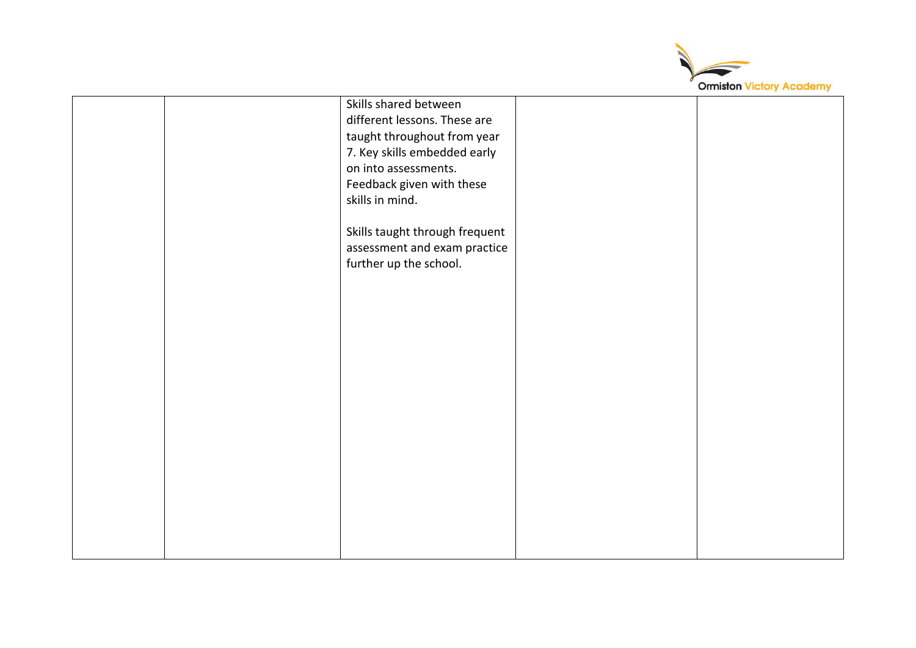

|  | Skills shared between          |  |
|--|--------------------------------|--|
|  | different lessons. These are   |  |
|  | taught throughout from year    |  |
|  | 7. Key skills embedded early   |  |
|  | on into assessments.           |  |
|  |                                |  |
|  | Feedback given with these      |  |
|  | skills in mind.                |  |
|  |                                |  |
|  | Skills taught through frequent |  |
|  | assessment and exam practice   |  |
|  | further up the school.         |  |
|  |                                |  |
|  |                                |  |
|  |                                |  |
|  |                                |  |
|  |                                |  |
|  |                                |  |
|  |                                |  |
|  |                                |  |
|  |                                |  |
|  |                                |  |
|  |                                |  |
|  |                                |  |
|  |                                |  |
|  |                                |  |
|  |                                |  |
|  |                                |  |
|  |                                |  |
|  |                                |  |
|  |                                |  |
|  |                                |  |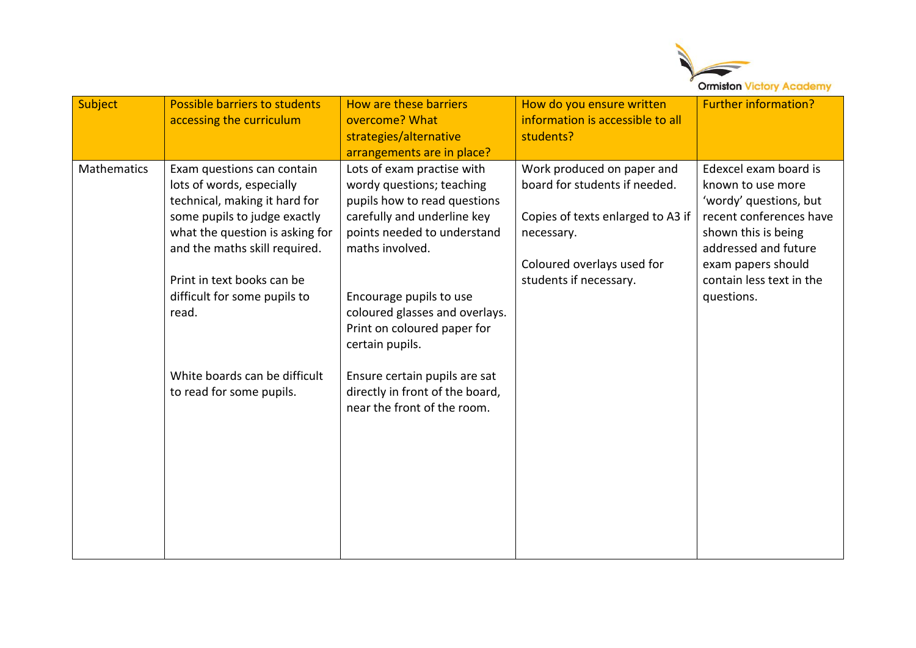

| Subject            | Possible barriers to students<br>accessing the curriculum                                                                                                                                                                                                           | How are these barriers<br>overcome? What<br>strategies/alternative<br>arrangements are in place?                                                                                                                                                                                        | How do you ensure written<br>information is accessible to all<br>students?                                                                                             | <b>Further information?</b>                                                                                                                                                                                    |
|--------------------|---------------------------------------------------------------------------------------------------------------------------------------------------------------------------------------------------------------------------------------------------------------------|-----------------------------------------------------------------------------------------------------------------------------------------------------------------------------------------------------------------------------------------------------------------------------------------|------------------------------------------------------------------------------------------------------------------------------------------------------------------------|----------------------------------------------------------------------------------------------------------------------------------------------------------------------------------------------------------------|
| <b>Mathematics</b> | Exam questions can contain<br>lots of words, especially<br>technical, making it hard for<br>some pupils to judge exactly<br>what the question is asking for<br>and the maths skill required.<br>Print in text books can be<br>difficult for some pupils to<br>read. | Lots of exam practise with<br>wordy questions; teaching<br>pupils how to read questions<br>carefully and underline key<br>points needed to understand<br>maths involved.<br>Encourage pupils to use<br>coloured glasses and overlays.<br>Print on coloured paper for<br>certain pupils. | Work produced on paper and<br>board for students if needed.<br>Copies of texts enlarged to A3 if<br>necessary.<br>Coloured overlays used for<br>students if necessary. | Edexcel exam board is<br>known to use more<br>'wordy' questions, but<br>recent conferences have<br>shown this is being<br>addressed and future<br>exam papers should<br>contain less text in the<br>questions. |
|                    | White boards can be difficult<br>to read for some pupils.                                                                                                                                                                                                           | Ensure certain pupils are sat<br>directly in front of the board,<br>near the front of the room.                                                                                                                                                                                         |                                                                                                                                                                        |                                                                                                                                                                                                                |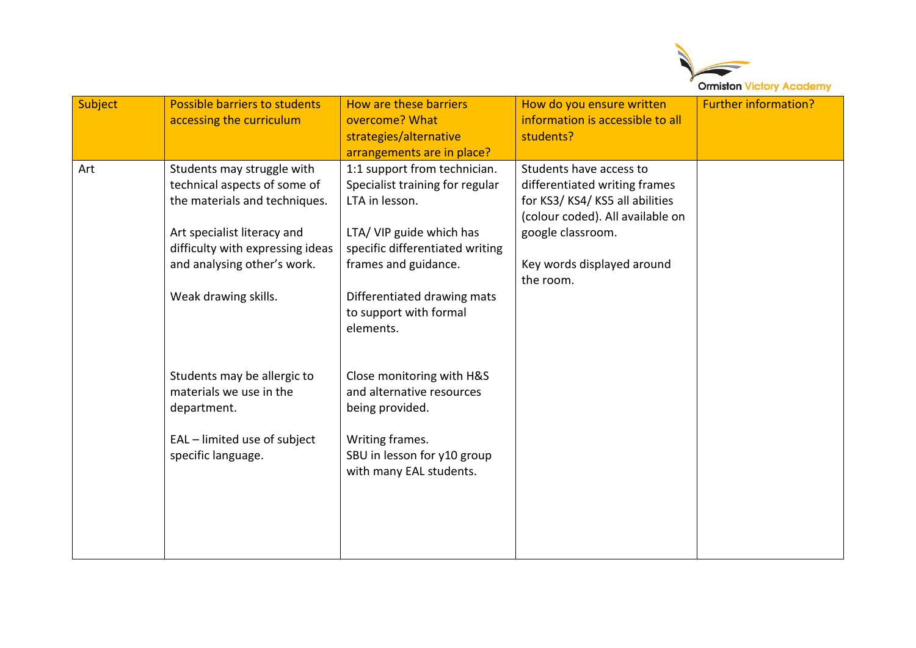

| Subject | Possible barriers to students<br>accessing the curriculum                                                                                                                                                             | How are these barriers<br>overcome? What<br>strategies/alternative<br>arrangements are in place?                                                                                                                                               | How do you ensure written<br>information is accessible to all<br>students?                                                                                                                    | <b>Further information?</b> |
|---------|-----------------------------------------------------------------------------------------------------------------------------------------------------------------------------------------------------------------------|------------------------------------------------------------------------------------------------------------------------------------------------------------------------------------------------------------------------------------------------|-----------------------------------------------------------------------------------------------------------------------------------------------------------------------------------------------|-----------------------------|
| Art     | Students may struggle with<br>technical aspects of some of<br>the materials and techniques.<br>Art specialist literacy and<br>difficulty with expressing ideas<br>and analysing other's work.<br>Weak drawing skills. | 1:1 support from technician.<br>Specialist training for regular<br>LTA in lesson.<br>LTA/ VIP guide which has<br>specific differentiated writing<br>frames and guidance.<br>Differentiated drawing mats<br>to support with formal<br>elements. | Students have access to<br>differentiated writing frames<br>for KS3/KS4/KS5 all abilities<br>(colour coded). All available on<br>google classroom.<br>Key words displayed around<br>the room. |                             |
|         | Students may be allergic to<br>materials we use in the<br>department.<br>EAL - limited use of subject<br>specific language.                                                                                           | Close monitoring with H&S<br>and alternative resources<br>being provided.<br>Writing frames.<br>SBU in lesson for y10 group<br>with many EAL students.                                                                                         |                                                                                                                                                                                               |                             |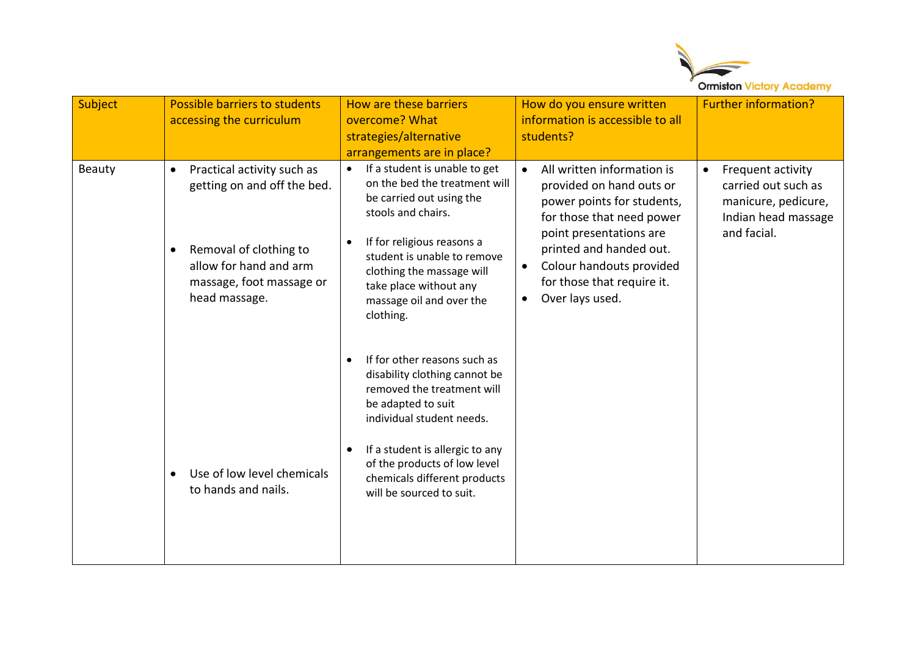

| Subject | Possible barriers to students<br>accessing the curriculum                                                                                                                                                                                              | <b>How are these barriers</b><br>overcome? What<br>strategies/alternative<br>arrangements are in place?                                                                                                                                                                                                                                                                                                                                                                                                                                                                     | How do you ensure written<br>information is accessible to all<br>students?                                                                                                                                                                                                     | <b>Further information?</b>                                                                           |
|---------|--------------------------------------------------------------------------------------------------------------------------------------------------------------------------------------------------------------------------------------------------------|-----------------------------------------------------------------------------------------------------------------------------------------------------------------------------------------------------------------------------------------------------------------------------------------------------------------------------------------------------------------------------------------------------------------------------------------------------------------------------------------------------------------------------------------------------------------------------|--------------------------------------------------------------------------------------------------------------------------------------------------------------------------------------------------------------------------------------------------------------------------------|-------------------------------------------------------------------------------------------------------|
| Beauty  | Practical activity such as<br>$\bullet$<br>getting on and off the bed.<br>Removal of clothing to<br>$\bullet$<br>allow for hand and arm<br>massage, foot massage or<br>head massage.<br>Use of low level chemicals<br>$\bullet$<br>to hands and nails. | If a student is unable to get<br>$\bullet$<br>on the bed the treatment will<br>be carried out using the<br>stools and chairs.<br>If for religious reasons a<br>student is unable to remove<br>clothing the massage will<br>take place without any<br>massage oil and over the<br>clothing.<br>If for other reasons such as<br>disability clothing cannot be<br>removed the treatment will<br>be adapted to suit<br>individual student needs.<br>If a student is allergic to any<br>of the products of low level<br>chemicals different products<br>will be sourced to suit. | All written information is<br>$\bullet$<br>provided on hand outs or<br>power points for students,<br>for those that need power<br>point presentations are<br>printed and handed out.<br>Colour handouts provided<br>$\bullet$<br>for those that require it.<br>Over lays used. | Frequent activity<br>carried out such as<br>manicure, pedicure,<br>Indian head massage<br>and facial. |
|         |                                                                                                                                                                                                                                                        |                                                                                                                                                                                                                                                                                                                                                                                                                                                                                                                                                                             |                                                                                                                                                                                                                                                                                |                                                                                                       |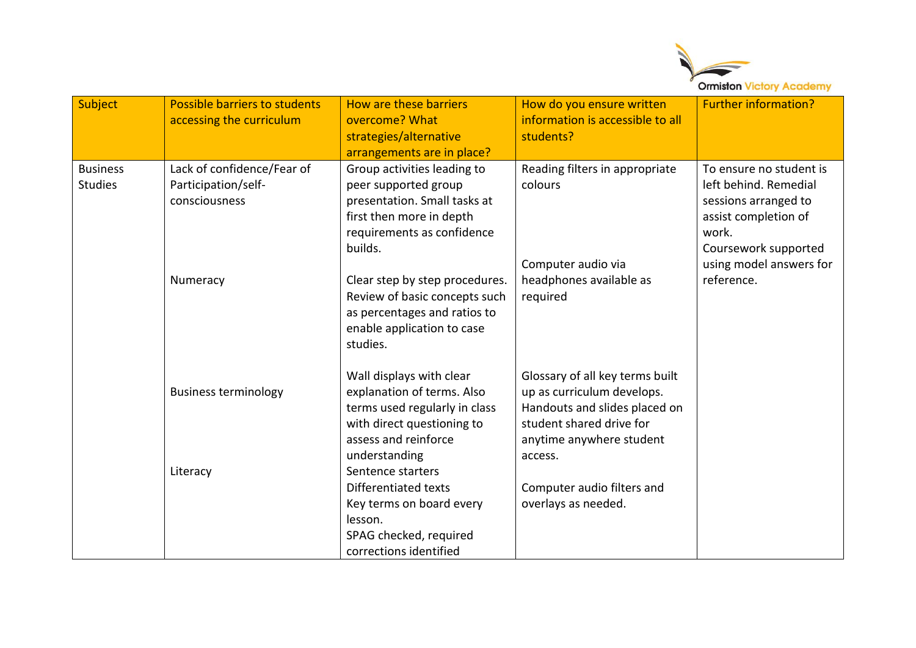

| Subject                           | Possible barriers to students<br>accessing the curriculum          | How are these barriers<br>overcome? What<br>strategies/alternative<br>arrangements are in place?                                                               | How do you ensure written<br>information is accessible to all<br>students?                                                                                        | <b>Further information?</b>                                                                                                       |
|-----------------------------------|--------------------------------------------------------------------|----------------------------------------------------------------------------------------------------------------------------------------------------------------|-------------------------------------------------------------------------------------------------------------------------------------------------------------------|-----------------------------------------------------------------------------------------------------------------------------------|
| <b>Business</b><br><b>Studies</b> | Lack of confidence/Fear of<br>Participation/self-<br>consciousness | Group activities leading to<br>peer supported group<br>presentation. Small tasks at<br>first then more in depth<br>requirements as confidence<br>builds.       | Reading filters in appropriate<br>colours                                                                                                                         | To ensure no student is<br>left behind. Remedial<br>sessions arranged to<br>assist completion of<br>work.<br>Coursework supported |
|                                   | Numeracy                                                           | Clear step by step procedures.<br>Review of basic concepts such<br>as percentages and ratios to<br>enable application to case<br>studies.                      | Computer audio via<br>headphones available as<br>required                                                                                                         | using model answers for<br>reference.                                                                                             |
|                                   | <b>Business terminology</b>                                        | Wall displays with clear<br>explanation of terms. Also<br>terms used regularly in class<br>with direct questioning to<br>assess and reinforce<br>understanding | Glossary of all key terms built<br>up as curriculum develops.<br>Handouts and slides placed on<br>student shared drive for<br>anytime anywhere student<br>access. |                                                                                                                                   |
|                                   | Literacy                                                           | Sentence starters<br>Differentiated texts<br>Key terms on board every<br>lesson.<br>SPAG checked, required<br>corrections identified                           | Computer audio filters and<br>overlays as needed.                                                                                                                 |                                                                                                                                   |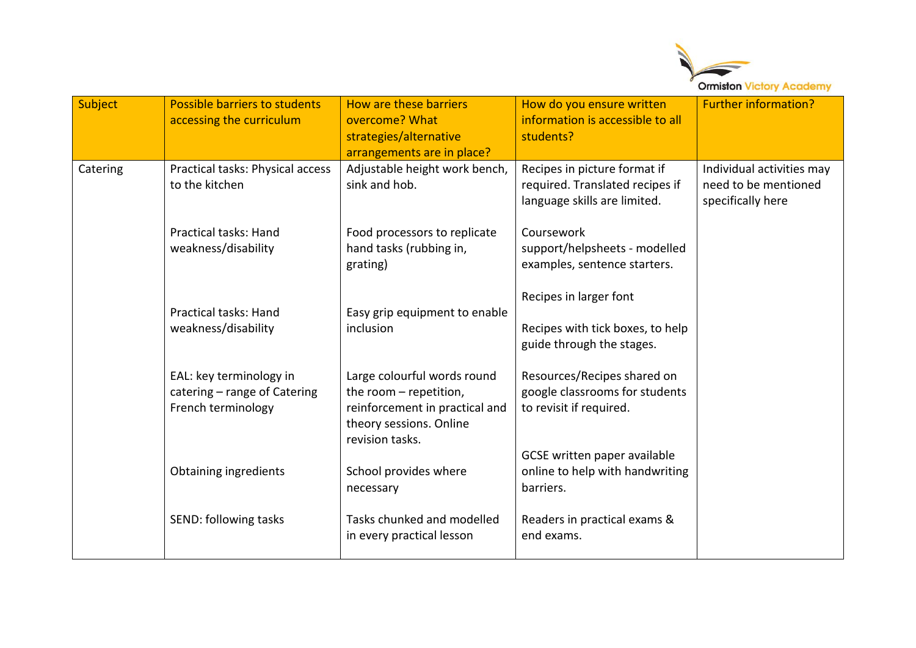

| Subject  | Possible barriers to students<br>accessing the curriculum                     | How are these barriers<br>overcome? What<br>strategies/alternative<br>arrangements are in place?                                      | How do you ensure written<br>information is accessible to all<br>students?                      | <b>Further information?</b>                                            |
|----------|-------------------------------------------------------------------------------|---------------------------------------------------------------------------------------------------------------------------------------|-------------------------------------------------------------------------------------------------|------------------------------------------------------------------------|
| Catering | Practical tasks: Physical access<br>to the kitchen                            | Adjustable height work bench,<br>sink and hob.                                                                                        | Recipes in picture format if<br>required. Translated recipes if<br>language skills are limited. | Individual activities may<br>need to be mentioned<br>specifically here |
|          | <b>Practical tasks: Hand</b><br>weakness/disability                           | Food processors to replicate<br>hand tasks (rubbing in,<br>grating)                                                                   | Coursework<br>support/helpsheets - modelled<br>examples, sentence starters.                     |                                                                        |
|          | Practical tasks: Hand<br>weakness/disability                                  | Easy grip equipment to enable<br>inclusion                                                                                            | Recipes in larger font<br>Recipes with tick boxes, to help<br>guide through the stages.         |                                                                        |
|          | EAL: key terminology in<br>catering - range of Catering<br>French terminology | Large colourful words round<br>the room - repetition,<br>reinforcement in practical and<br>theory sessions. Online<br>revision tasks. | Resources/Recipes shared on<br>google classrooms for students<br>to revisit if required.        |                                                                        |
|          | Obtaining ingredients                                                         | School provides where<br>necessary                                                                                                    | GCSE written paper available<br>online to help with handwriting<br>barriers.                    |                                                                        |
|          | SEND: following tasks                                                         | Tasks chunked and modelled<br>in every practical lesson                                                                               | Readers in practical exams &<br>end exams.                                                      |                                                                        |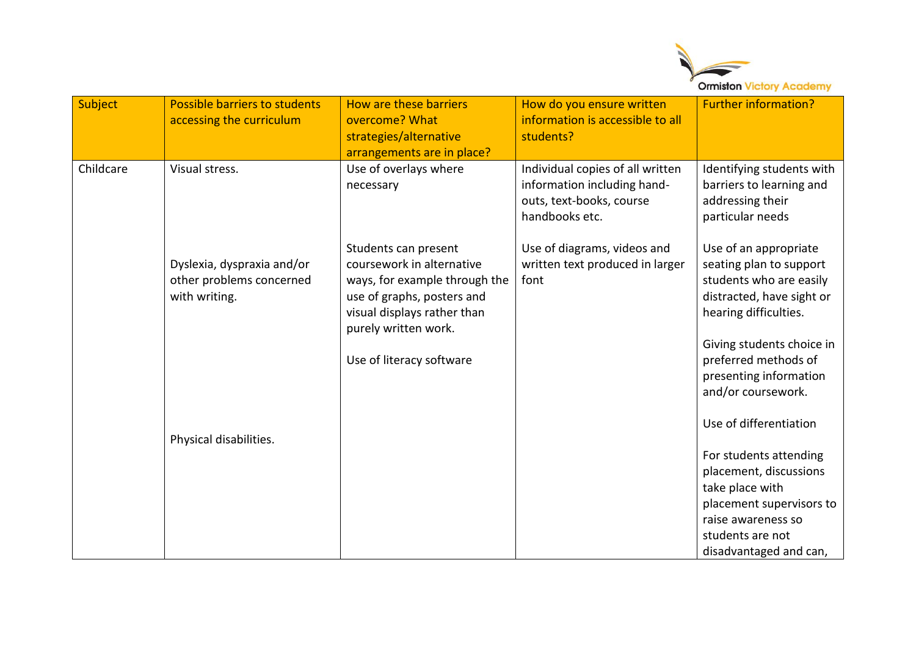

| Subject   | Possible barriers to students<br>accessing the curriculum               | How are these barriers<br>overcome? What<br>strategies/alternative<br>arrangements are in place?                                                                                                    | How do you ensure written<br>information is accessible to all<br>students?                                    | <b>Further information?</b>                                                                                                                                                                                                                                      |
|-----------|-------------------------------------------------------------------------|-----------------------------------------------------------------------------------------------------------------------------------------------------------------------------------------------------|---------------------------------------------------------------------------------------------------------------|------------------------------------------------------------------------------------------------------------------------------------------------------------------------------------------------------------------------------------------------------------------|
| Childcare | Visual stress.                                                          | Use of overlays where<br>necessary                                                                                                                                                                  | Individual copies of all written<br>information including hand-<br>outs, text-books, course<br>handbooks etc. | Identifying students with<br>barriers to learning and<br>addressing their<br>particular needs                                                                                                                                                                    |
|           | Dyslexia, dyspraxia and/or<br>other problems concerned<br>with writing. | Students can present<br>coursework in alternative<br>ways, for example through the<br>use of graphs, posters and<br>visual displays rather than<br>purely written work.<br>Use of literacy software | Use of diagrams, videos and<br>written text produced in larger<br>font                                        | Use of an appropriate<br>seating plan to support<br>students who are easily<br>distracted, have sight or<br>hearing difficulties.<br>Giving students choice in<br>preferred methods of<br>presenting information<br>and/or coursework.<br>Use of differentiation |
|           | Physical disabilities.                                                  |                                                                                                                                                                                                     |                                                                                                               | For students attending<br>placement, discussions<br>take place with<br>placement supervisors to<br>raise awareness so<br>students are not<br>disadvantaged and can,                                                                                              |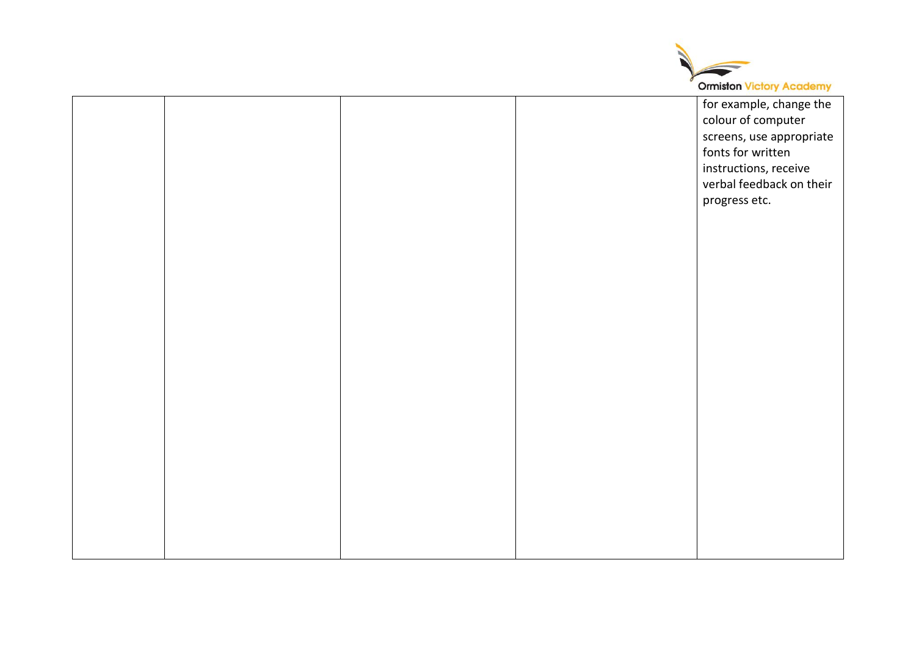

|  |  | for example, change the  |
|--|--|--------------------------|
|  |  | colour of computer       |
|  |  | screens, use appropriate |
|  |  | fonts for written        |
|  |  |                          |
|  |  | instructions, receive    |
|  |  | verbal feedback on their |
|  |  | progress etc.            |
|  |  |                          |
|  |  |                          |
|  |  |                          |
|  |  |                          |
|  |  |                          |
|  |  |                          |
|  |  |                          |
|  |  |                          |
|  |  |                          |
|  |  |                          |
|  |  |                          |
|  |  |                          |
|  |  |                          |
|  |  |                          |
|  |  |                          |
|  |  |                          |
|  |  |                          |
|  |  |                          |
|  |  |                          |
|  |  |                          |
|  |  |                          |
|  |  |                          |
|  |  |                          |
|  |  |                          |
|  |  |                          |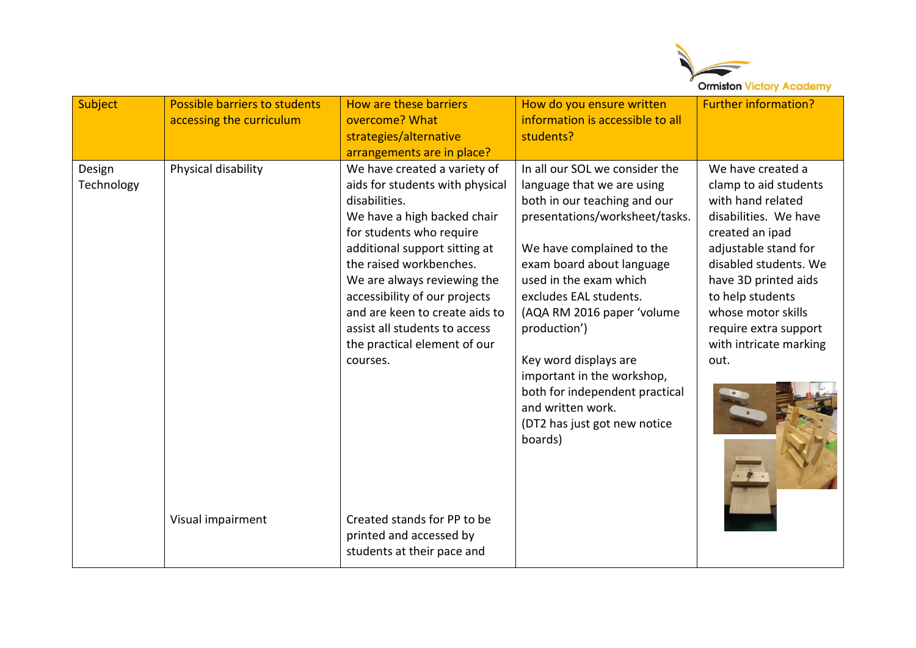

| Subject              | <b>Possible barriers to students</b><br>accessing the curriculum | How are these barriers<br>overcome? What<br>strategies/alternative<br>arrangements are in place?                                                                                                                                                                                                                                                                                                                      | How do you ensure written<br>information is accessible to all<br>students?                                                                                                                                                                                                                                                                                                                                                                          | <b>Further information?</b>                                                                                                                                                                                                                                                               |
|----------------------|------------------------------------------------------------------|-----------------------------------------------------------------------------------------------------------------------------------------------------------------------------------------------------------------------------------------------------------------------------------------------------------------------------------------------------------------------------------------------------------------------|-----------------------------------------------------------------------------------------------------------------------------------------------------------------------------------------------------------------------------------------------------------------------------------------------------------------------------------------------------------------------------------------------------------------------------------------------------|-------------------------------------------------------------------------------------------------------------------------------------------------------------------------------------------------------------------------------------------------------------------------------------------|
| Design<br>Technology | Physical disability<br>Visual impairment                         | We have created a variety of<br>aids for students with physical<br>disabilities.<br>We have a high backed chair<br>for students who require<br>additional support sitting at<br>the raised workbenches.<br>We are always reviewing the<br>accessibility of our projects<br>and are keen to create aids to<br>assist all students to access<br>the practical element of our<br>courses.<br>Created stands for PP to be | In all our SOL we consider the<br>language that we are using<br>both in our teaching and our<br>presentations/worksheet/tasks.<br>We have complained to the<br>exam board about language<br>used in the exam which<br>excludes EAL students.<br>(AQA RM 2016 paper 'volume<br>production')<br>Key word displays are<br>important in the workshop,<br>both for independent practical<br>and written work.<br>(DT2 has just got new notice<br>boards) | We have created a<br>clamp to aid students<br>with hand related<br>disabilities. We have<br>created an ipad<br>adjustable stand for<br>disabled students. We<br>have 3D printed aids<br>to help students<br>whose motor skills<br>require extra support<br>with intricate marking<br>out. |
|                      |                                                                  | printed and accessed by<br>students at their pace and                                                                                                                                                                                                                                                                                                                                                                 |                                                                                                                                                                                                                                                                                                                                                                                                                                                     |                                                                                                                                                                                                                                                                                           |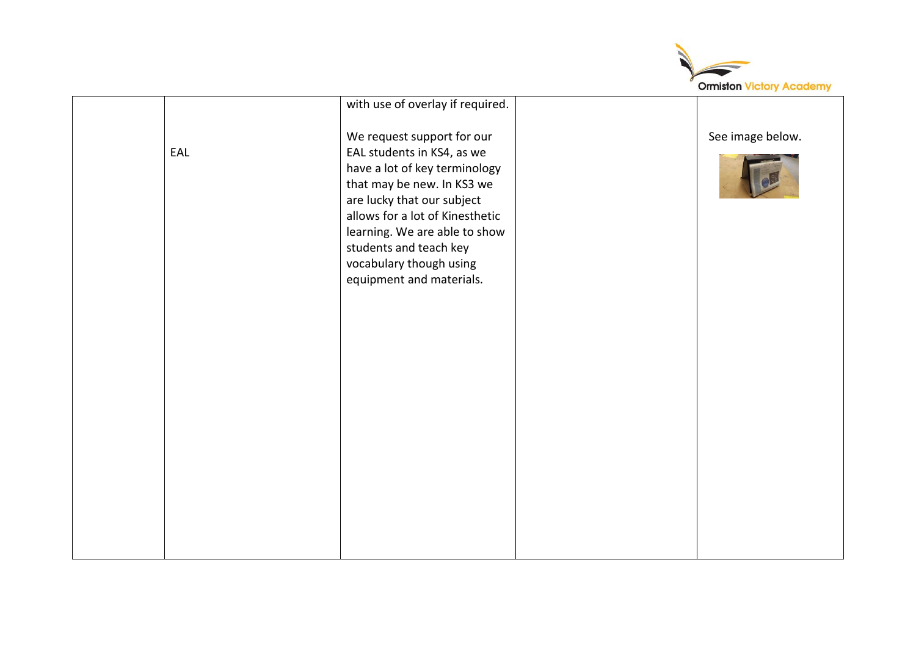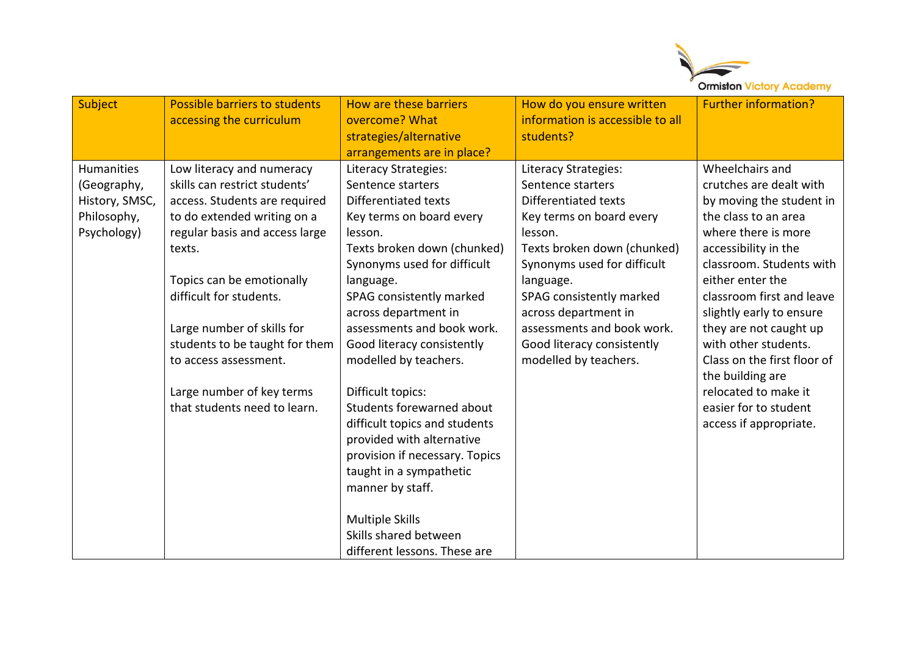

| Subject           | Possible barriers to students  | How are these barriers         | How do you ensure written        | <b>Further information?</b> |
|-------------------|--------------------------------|--------------------------------|----------------------------------|-----------------------------|
|                   | accessing the curriculum       | overcome? What                 | information is accessible to all |                             |
|                   |                                | strategies/alternative         | students?                        |                             |
|                   |                                | arrangements are in place?     |                                  |                             |
| <b>Humanities</b> | Low literacy and numeracy      | Literacy Strategies:           | Literacy Strategies:             | Wheelchairs and             |
| (Geography,       | skills can restrict students'  | Sentence starters              | Sentence starters                | crutches are dealt with     |
| History, SMSC,    | access. Students are required  | Differentiated texts           | Differentiated texts             | by moving the student in    |
| Philosophy,       | to do extended writing on a    | Key terms on board every       | Key terms on board every         | the class to an area        |
| Psychology)       | regular basis and access large | lesson.                        | lesson.                          | where there is more         |
|                   | texts.                         | Texts broken down (chunked)    | Texts broken down (chunked)      | accessibility in the        |
|                   |                                | Synonyms used for difficult    | Synonyms used for difficult      | classroom. Students with    |
|                   | Topics can be emotionally      | language.                      | language.                        | either enter the            |
|                   | difficult for students.        | SPAG consistently marked       | SPAG consistently marked         | classroom first and leave   |
|                   |                                | across department in           | across department in             | slightly early to ensure    |
|                   | Large number of skills for     | assessments and book work.     | assessments and book work.       | they are not caught up      |
|                   | students to be taught for them | Good literacy consistently     | Good literacy consistently       | with other students.        |
|                   | to access assessment.          | modelled by teachers.          | modelled by teachers.            | Class on the first floor of |
|                   |                                |                                |                                  | the building are            |
|                   | Large number of key terms      | Difficult topics:              |                                  | relocated to make it        |
|                   | that students need to learn.   | Students forewarned about      |                                  | easier for to student       |
|                   |                                | difficult topics and students  |                                  | access if appropriate.      |
|                   |                                | provided with alternative      |                                  |                             |
|                   |                                | provision if necessary. Topics |                                  |                             |
|                   |                                | taught in a sympathetic        |                                  |                             |
|                   |                                | manner by staff.               |                                  |                             |
|                   |                                |                                |                                  |                             |
|                   |                                | <b>Multiple Skills</b>         |                                  |                             |
|                   |                                | Skills shared between          |                                  |                             |
|                   |                                | different lessons. These are   |                                  |                             |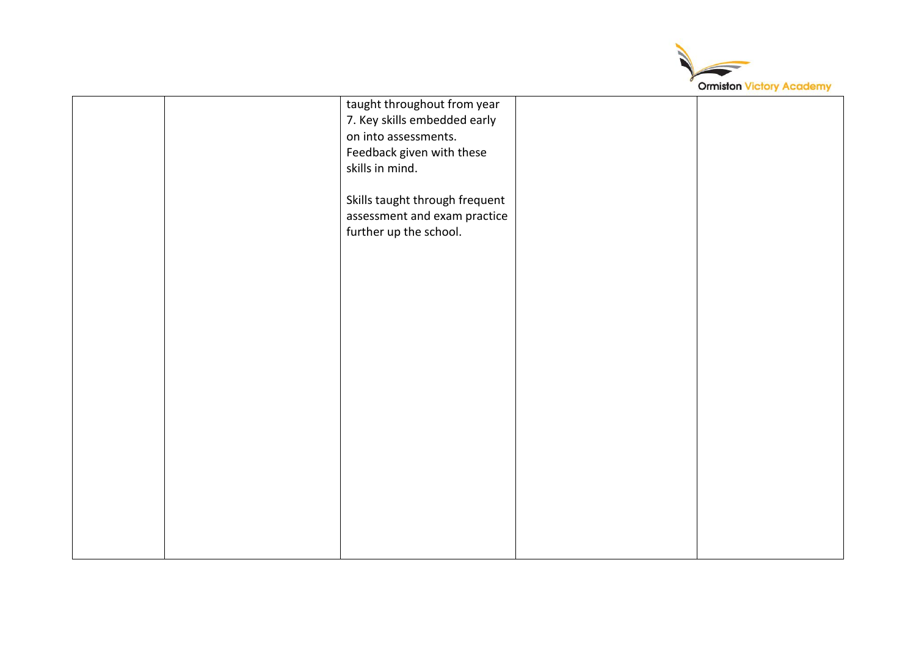

|  | taught throughout from year    |  |
|--|--------------------------------|--|
|  | 7. Key skills embedded early   |  |
|  | on into assessments.           |  |
|  | Feedback given with these      |  |
|  | skills in mind.                |  |
|  |                                |  |
|  |                                |  |
|  | Skills taught through frequent |  |
|  | assessment and exam practice   |  |
|  | further up the school.         |  |
|  |                                |  |
|  |                                |  |
|  |                                |  |
|  |                                |  |
|  |                                |  |
|  |                                |  |
|  |                                |  |
|  |                                |  |
|  |                                |  |
|  |                                |  |
|  |                                |  |
|  |                                |  |
|  |                                |  |
|  |                                |  |
|  |                                |  |
|  |                                |  |
|  |                                |  |
|  |                                |  |
|  |                                |  |
|  |                                |  |
|  |                                |  |
|  |                                |  |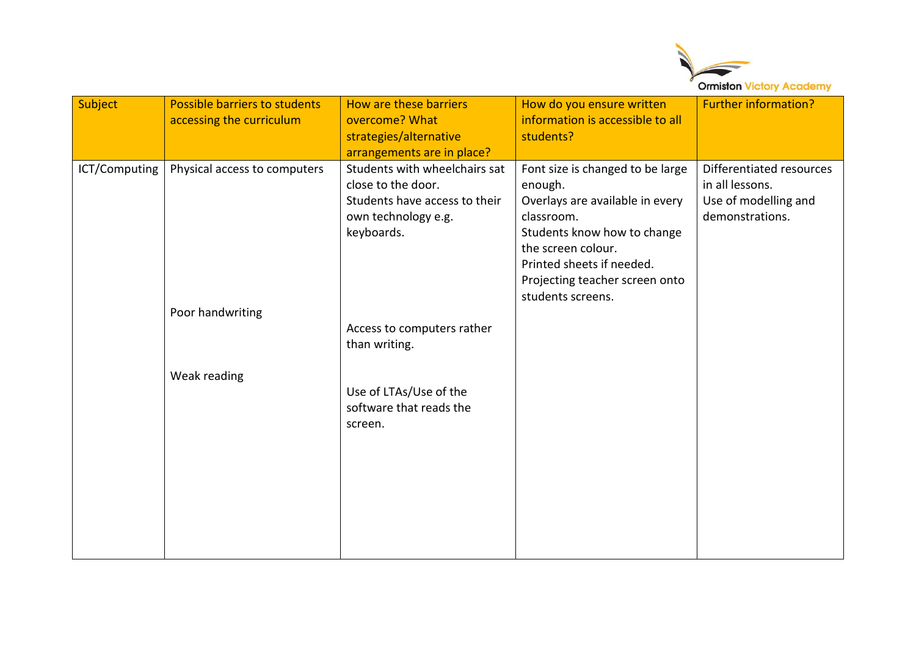

| Students with wheelchairs sat<br>Font size is changed to be large<br>ICT/Computing<br>Physical access to computers<br>close to the door.<br>in all lessons.<br>enough.<br>Students have access to their<br>Overlays are available in every<br>Use of modelling and<br>demonstrations.<br>own technology e.g.<br>classroom.<br>Students know how to change<br>keyboards.<br>the screen colour.<br>Printed sheets if needed.<br>Projecting teacher screen onto<br>students screens.<br>Poor handwriting<br>Access to computers rather<br>than writing.<br>Weak reading<br>Use of LTAs/Use of the<br>software that reads the<br>screen. | Subject | Possible barriers to students<br>accessing the curriculum | How are these barriers<br>overcome? What<br>strategies/alternative | How do you ensure written<br>information is accessible to all<br>students? | <b>Further information?</b> |
|--------------------------------------------------------------------------------------------------------------------------------------------------------------------------------------------------------------------------------------------------------------------------------------------------------------------------------------------------------------------------------------------------------------------------------------------------------------------------------------------------------------------------------------------------------------------------------------------------------------------------------------|---------|-----------------------------------------------------------|--------------------------------------------------------------------|----------------------------------------------------------------------------|-----------------------------|
|                                                                                                                                                                                                                                                                                                                                                                                                                                                                                                                                                                                                                                      |         |                                                           | arrangements are in place?                                         |                                                                            | Differentiated resources    |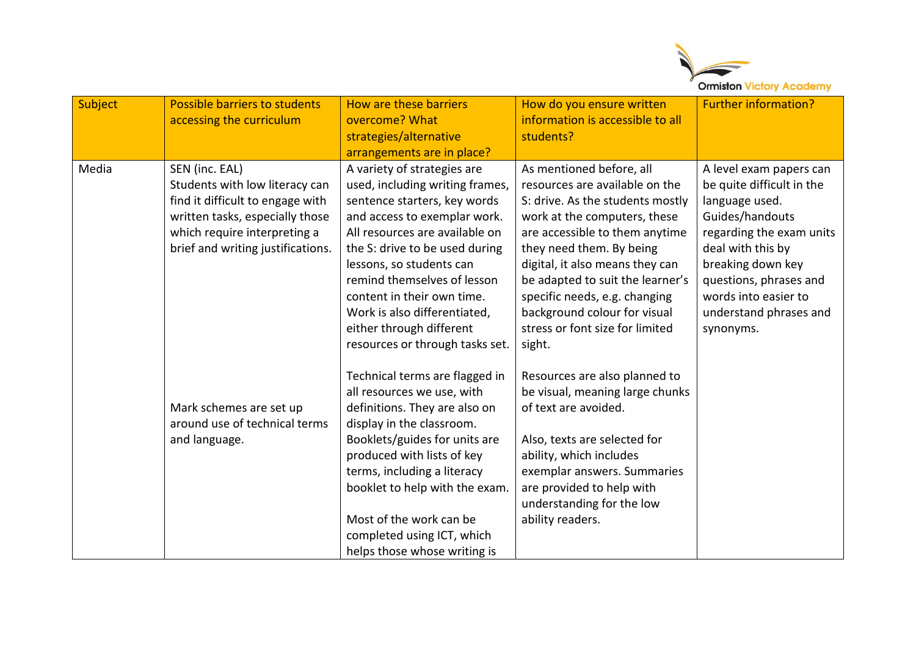

| Subject | Possible barriers to students                                                                                                                                                                | How are these barriers<br>overcome? What                                                                                                                                                                                                                                                                                                                                               | How do you ensure written<br>information is accessible to all                                                                                                                                                                                                                                                                                                           | <b>Further information?</b>                                                                                                                                                                                                                              |
|---------|----------------------------------------------------------------------------------------------------------------------------------------------------------------------------------------------|----------------------------------------------------------------------------------------------------------------------------------------------------------------------------------------------------------------------------------------------------------------------------------------------------------------------------------------------------------------------------------------|-------------------------------------------------------------------------------------------------------------------------------------------------------------------------------------------------------------------------------------------------------------------------------------------------------------------------------------------------------------------------|----------------------------------------------------------------------------------------------------------------------------------------------------------------------------------------------------------------------------------------------------------|
|         | accessing the curriculum                                                                                                                                                                     | strategies/alternative                                                                                                                                                                                                                                                                                                                                                                 | students?                                                                                                                                                                                                                                                                                                                                                               |                                                                                                                                                                                                                                                          |
|         |                                                                                                                                                                                              | arrangements are in place?                                                                                                                                                                                                                                                                                                                                                             |                                                                                                                                                                                                                                                                                                                                                                         |                                                                                                                                                                                                                                                          |
| Media   | SEN (inc. EAL)<br>Students with low literacy can<br>find it difficult to engage with<br>written tasks, especially those<br>which require interpreting a<br>brief and writing justifications. | A variety of strategies are<br>used, including writing frames,<br>sentence starters, key words<br>and access to exemplar work.<br>All resources are available on<br>the S: drive to be used during<br>lessons, so students can<br>remind themselves of lesson<br>content in their own time.<br>Work is also differentiated,<br>either through different                                | As mentioned before, all<br>resources are available on the<br>S: drive. As the students mostly<br>work at the computers, these<br>are accessible to them anytime<br>they need them. By being<br>digital, it also means they can<br>be adapted to suit the learner's<br>specific needs, e.g. changing<br>background colour for visual<br>stress or font size for limited | A level exam papers can<br>be quite difficult in the<br>language used.<br>Guides/handouts<br>regarding the exam units<br>deal with this by<br>breaking down key<br>questions, phrases and<br>words into easier to<br>understand phrases and<br>synonyms. |
|         | Mark schemes are set up<br>around use of technical terms<br>and language.                                                                                                                    | resources or through tasks set.<br>Technical terms are flagged in<br>all resources we use, with<br>definitions. They are also on<br>display in the classroom.<br>Booklets/guides for units are<br>produced with lists of key<br>terms, including a literacy<br>booklet to help with the exam.<br>Most of the work can be<br>completed using ICT, which<br>helps those whose writing is | sight.<br>Resources are also planned to<br>be visual, meaning large chunks<br>of text are avoided.<br>Also, texts are selected for<br>ability, which includes<br>exemplar answers. Summaries<br>are provided to help with<br>understanding for the low<br>ability readers.                                                                                              |                                                                                                                                                                                                                                                          |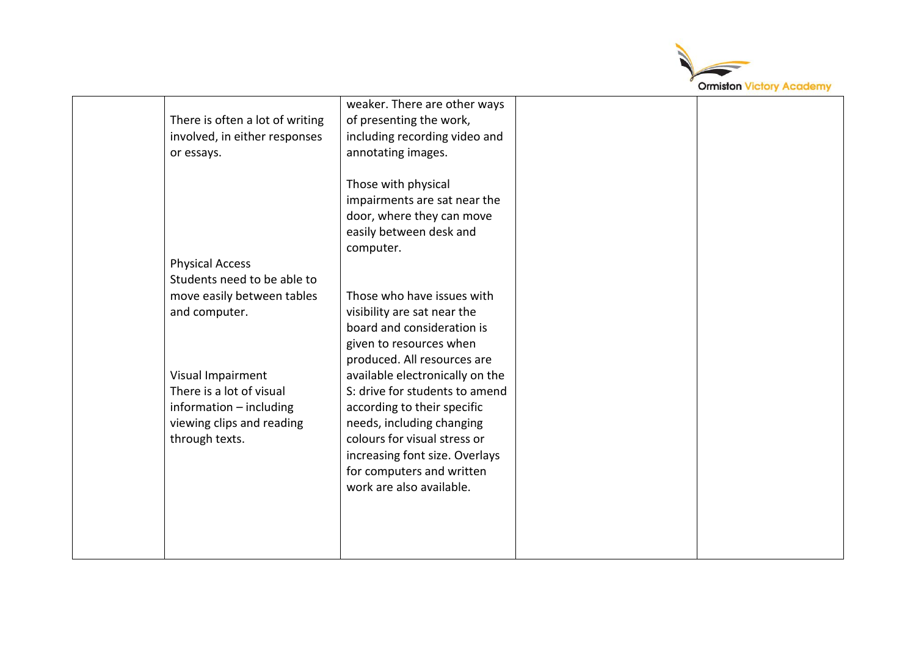

|                                 | weaker. There are other ways    |  |
|---------------------------------|---------------------------------|--|
| There is often a lot of writing | of presenting the work,         |  |
| involved, in either responses   | including recording video and   |  |
| or essays.                      | annotating images.              |  |
|                                 |                                 |  |
|                                 | Those with physical             |  |
|                                 | impairments are sat near the    |  |
|                                 | door, where they can move       |  |
|                                 | easily between desk and         |  |
|                                 | computer.                       |  |
| <b>Physical Access</b>          |                                 |  |
| Students need to be able to     |                                 |  |
|                                 |                                 |  |
| move easily between tables      | Those who have issues with      |  |
| and computer.                   | visibility are sat near the     |  |
|                                 | board and consideration is      |  |
|                                 | given to resources when         |  |
|                                 | produced. All resources are     |  |
| Visual Impairment               | available electronically on the |  |
| There is a lot of visual        | S: drive for students to amend  |  |
| information - including         | according to their specific     |  |
| viewing clips and reading       | needs, including changing       |  |
| through texts.                  | colours for visual stress or    |  |
|                                 | increasing font size. Overlays  |  |
|                                 | for computers and written       |  |
|                                 | work are also available.        |  |
|                                 |                                 |  |
|                                 |                                 |  |
|                                 |                                 |  |
|                                 |                                 |  |
|                                 |                                 |  |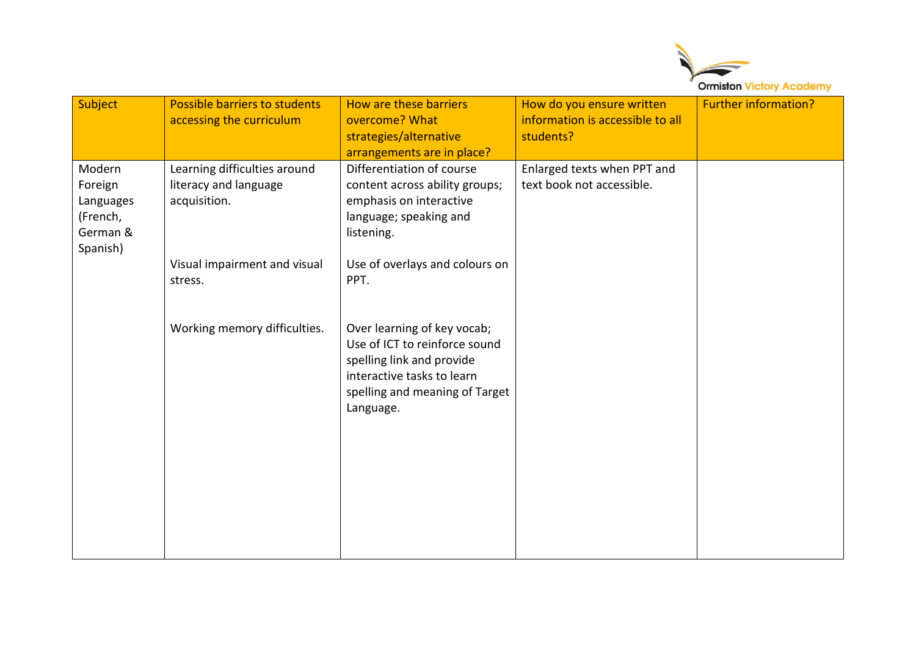

| Subject                                                            | Possible barriers to students<br>accessing the curriculum             | How are these barriers<br>overcome? What<br>strategies/alternative<br>arrangements are in place?                                                                       | How do you ensure written<br>information is accessible to all<br>students? | <b>Further information?</b> |
|--------------------------------------------------------------------|-----------------------------------------------------------------------|------------------------------------------------------------------------------------------------------------------------------------------------------------------------|----------------------------------------------------------------------------|-----------------------------|
| Modern<br>Foreign<br>Languages<br>(French,<br>German &<br>Spanish) | Learning difficulties around<br>literacy and language<br>acquisition. | Differentiation of course<br>content across ability groups;<br>emphasis on interactive<br>language; speaking and<br>listening.                                         | Enlarged texts when PPT and<br>text book not accessible.                   |                             |
|                                                                    | Visual impairment and visual<br>stress.                               | Use of overlays and colours on<br>PPT.                                                                                                                                 |                                                                            |                             |
|                                                                    | Working memory difficulties.                                          | Over learning of key vocab;<br>Use of ICT to reinforce sound<br>spelling link and provide<br>interactive tasks to learn<br>spelling and meaning of Target<br>Language. |                                                                            |                             |
|                                                                    |                                                                       |                                                                                                                                                                        |                                                                            |                             |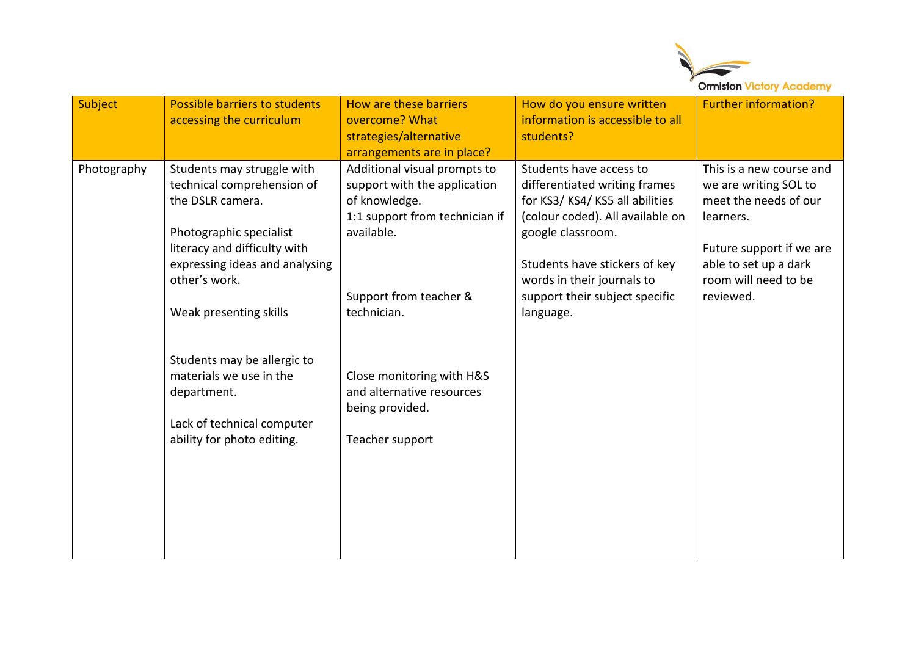

| Subject     | Possible barriers to students<br>accessing the curriculum                                                                                                                                                                                                                                     | How are these barriers<br>overcome? What<br>strategies/alternative<br>arrangements are in place?                                                                                                                                 | How do you ensure written<br>information is accessible to all<br>students?                                                                                                                                                                                       | <b>Further information?</b>                                                                                                                                                       |
|-------------|-----------------------------------------------------------------------------------------------------------------------------------------------------------------------------------------------------------------------------------------------------------------------------------------------|----------------------------------------------------------------------------------------------------------------------------------------------------------------------------------------------------------------------------------|------------------------------------------------------------------------------------------------------------------------------------------------------------------------------------------------------------------------------------------------------------------|-----------------------------------------------------------------------------------------------------------------------------------------------------------------------------------|
| Photography | Students may struggle with<br>technical comprehension of<br>the DSLR camera.<br>Photographic specialist<br>literacy and difficulty with<br>expressing ideas and analysing<br>other's work.<br>Weak presenting skills<br>Students may be allergic to<br>materials we use in the<br>department. | Additional visual prompts to<br>support with the application<br>of knowledge.<br>1:1 support from technician if<br>available.<br>Support from teacher &<br>technician.<br>Close monitoring with H&S<br>and alternative resources | Students have access to<br>differentiated writing frames<br>for KS3/KS4/KS5 all abilities<br>(colour coded). All available on<br>google classroom.<br>Students have stickers of key<br>words in their journals to<br>support their subject specific<br>language. | This is a new course and<br>we are writing SOL to<br>meet the needs of our<br>learners.<br>Future support if we are<br>able to set up a dark<br>room will need to be<br>reviewed. |
|             | Lack of technical computer<br>ability for photo editing.                                                                                                                                                                                                                                      | being provided.<br>Teacher support                                                                                                                                                                                               |                                                                                                                                                                                                                                                                  |                                                                                                                                                                                   |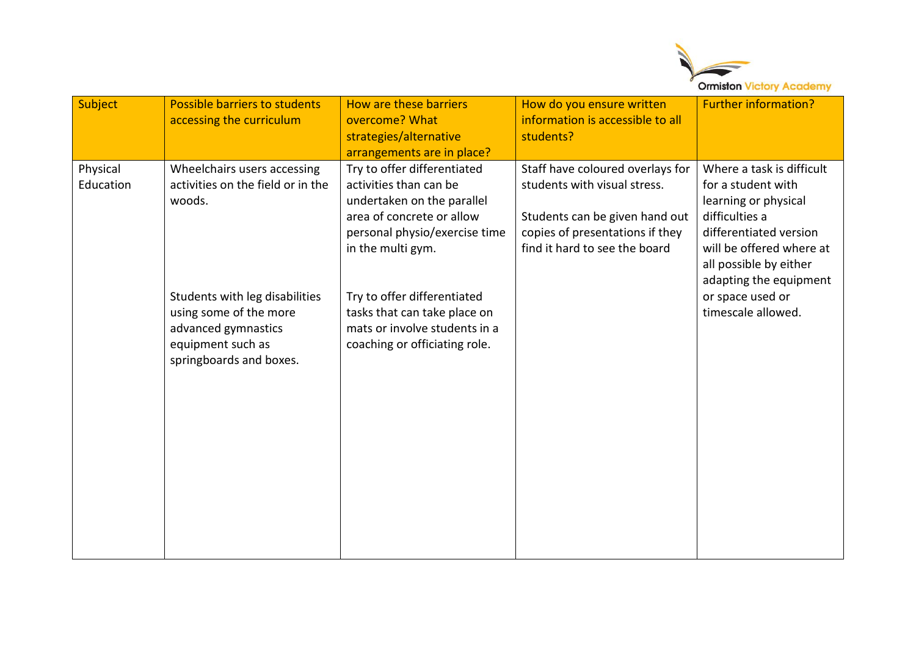

| Subject               | Possible barriers to students<br>accessing the curriculum                                                                                                                                                     | How are these barriers<br>overcome? What<br>strategies/alternative<br>arrangements are in place?                                                                                                                                                                                                        | How do you ensure written<br>information is accessible to all<br>students?                                                                                             | <b>Further information?</b>                                                                                                                                                                                                                   |
|-----------------------|---------------------------------------------------------------------------------------------------------------------------------------------------------------------------------------------------------------|---------------------------------------------------------------------------------------------------------------------------------------------------------------------------------------------------------------------------------------------------------------------------------------------------------|------------------------------------------------------------------------------------------------------------------------------------------------------------------------|-----------------------------------------------------------------------------------------------------------------------------------------------------------------------------------------------------------------------------------------------|
| Physical<br>Education | Wheelchairs users accessing<br>activities on the field or in the<br>woods.<br>Students with leg disabilities<br>using some of the more<br>advanced gymnastics<br>equipment such as<br>springboards and boxes. | Try to offer differentiated<br>activities than can be<br>undertaken on the parallel<br>area of concrete or allow<br>personal physio/exercise time<br>in the multi gym.<br>Try to offer differentiated<br>tasks that can take place on<br>mats or involve students in a<br>coaching or officiating role. | Staff have coloured overlays for<br>students with visual stress.<br>Students can be given hand out<br>copies of presentations if they<br>find it hard to see the board | Where a task is difficult<br>for a student with<br>learning or physical<br>difficulties a<br>differentiated version<br>will be offered where at<br>all possible by either<br>adapting the equipment<br>or space used or<br>timescale allowed. |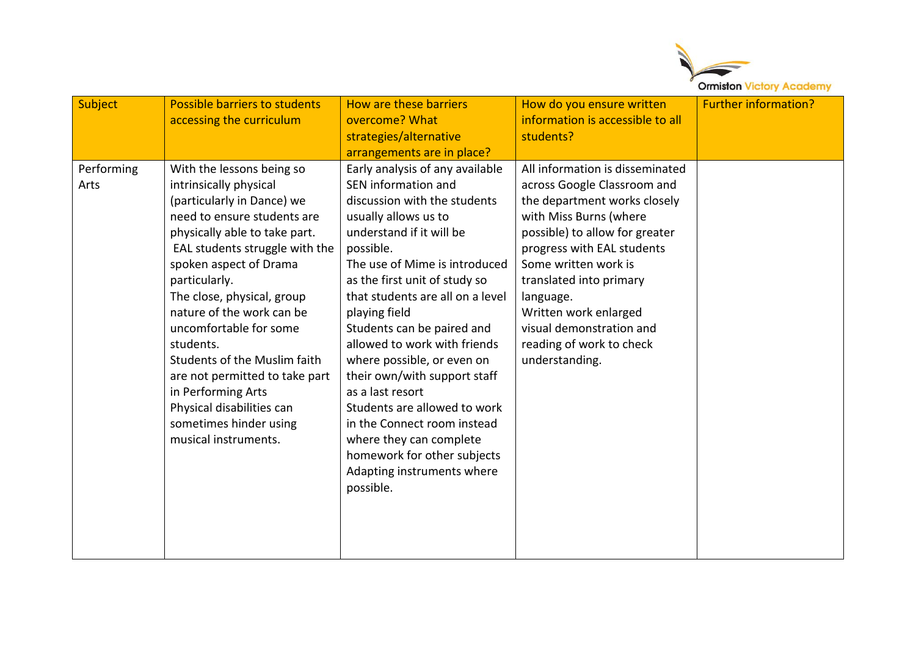

| Subject<br>Performing<br>Arts | Possible barriers to students<br>accessing the curriculum<br>With the lessons being so<br>intrinsically physical<br>(particularly in Dance) we<br>need to ensure students are                                                                                                                                                                                                       | How are these barriers<br>overcome? What<br>strategies/alternative<br>arrangements are in place?<br>Early analysis of any available<br>SEN information and<br>discussion with the students<br>usually allows us to                                                                                                                                                                                                                                                               | How do you ensure written<br>information is accessible to all<br>students?<br>All information is disseminated<br>across Google Classroom and<br>the department works closely<br>with Miss Burns (where                          | <b>Further information?</b> |
|-------------------------------|-------------------------------------------------------------------------------------------------------------------------------------------------------------------------------------------------------------------------------------------------------------------------------------------------------------------------------------------------------------------------------------|----------------------------------------------------------------------------------------------------------------------------------------------------------------------------------------------------------------------------------------------------------------------------------------------------------------------------------------------------------------------------------------------------------------------------------------------------------------------------------|---------------------------------------------------------------------------------------------------------------------------------------------------------------------------------------------------------------------------------|-----------------------------|
|                               | physically able to take part.<br>EAL students struggle with the<br>spoken aspect of Drama<br>particularly.<br>The close, physical, group<br>nature of the work can be<br>uncomfortable for some<br>students.<br>Students of the Muslim faith<br>are not permitted to take part<br>in Performing Arts<br>Physical disabilities can<br>sometimes hinder using<br>musical instruments. | understand if it will be<br>possible.<br>The use of Mime is introduced<br>as the first unit of study so<br>that students are all on a level<br>playing field<br>Students can be paired and<br>allowed to work with friends<br>where possible, or even on<br>their own/with support staff<br>as a last resort<br>Students are allowed to work<br>in the Connect room instead<br>where they can complete<br>homework for other subjects<br>Adapting instruments where<br>possible. | possible) to allow for greater<br>progress with EAL students<br>Some written work is<br>translated into primary<br>language.<br>Written work enlarged<br>visual demonstration and<br>reading of work to check<br>understanding. |                             |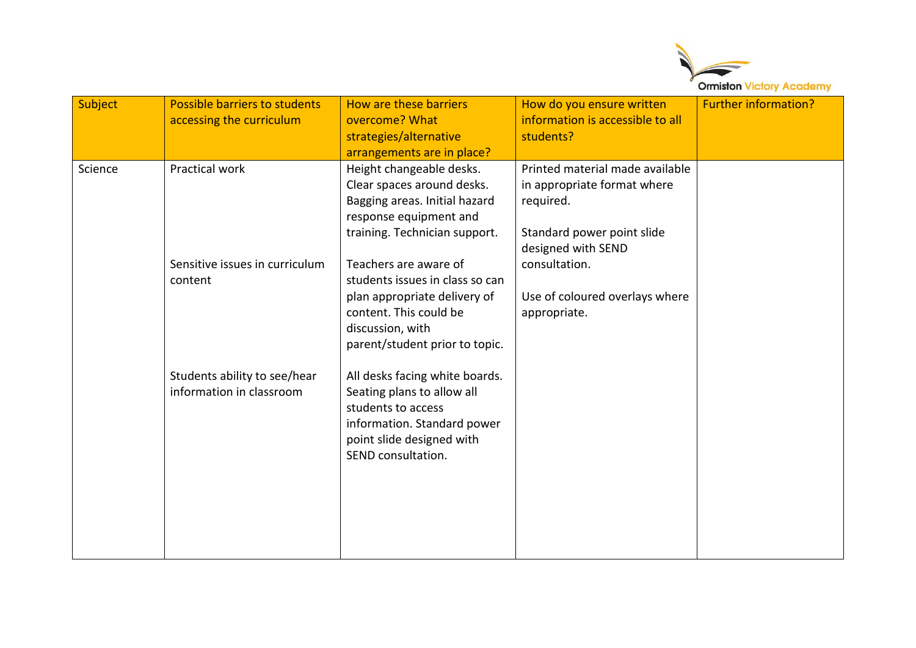

| Subject | Possible barriers to students<br>accessing the curriculum | How are these barriers<br>overcome? What<br>strategies/alternative                                                                                                          | How do you ensure written<br>information is accessible to all<br>students?                                                                       | <b>Further information?</b> |
|---------|-----------------------------------------------------------|-----------------------------------------------------------------------------------------------------------------------------------------------------------------------------|--------------------------------------------------------------------------------------------------------------------------------------------------|-----------------------------|
|         |                                                           | arrangements are in place?                                                                                                                                                  |                                                                                                                                                  |                             |
| Science | Practical work<br>Sensitive issues in curriculum          | Height changeable desks.<br>Clear spaces around desks.<br>Bagging areas. Initial hazard<br>response equipment and<br>training. Technician support.<br>Teachers are aware of | Printed material made available<br>in appropriate format where<br>required.<br>Standard power point slide<br>designed with SEND<br>consultation. |                             |
|         | content                                                   | students issues in class so can<br>plan appropriate delivery of<br>content. This could be<br>discussion, with<br>parent/student prior to topic.                             | Use of coloured overlays where<br>appropriate.                                                                                                   |                             |
|         | Students ability to see/hear<br>information in classroom  | All desks facing white boards.<br>Seating plans to allow all<br>students to access<br>information. Standard power<br>point slide designed with<br>SEND consultation.        |                                                                                                                                                  |                             |